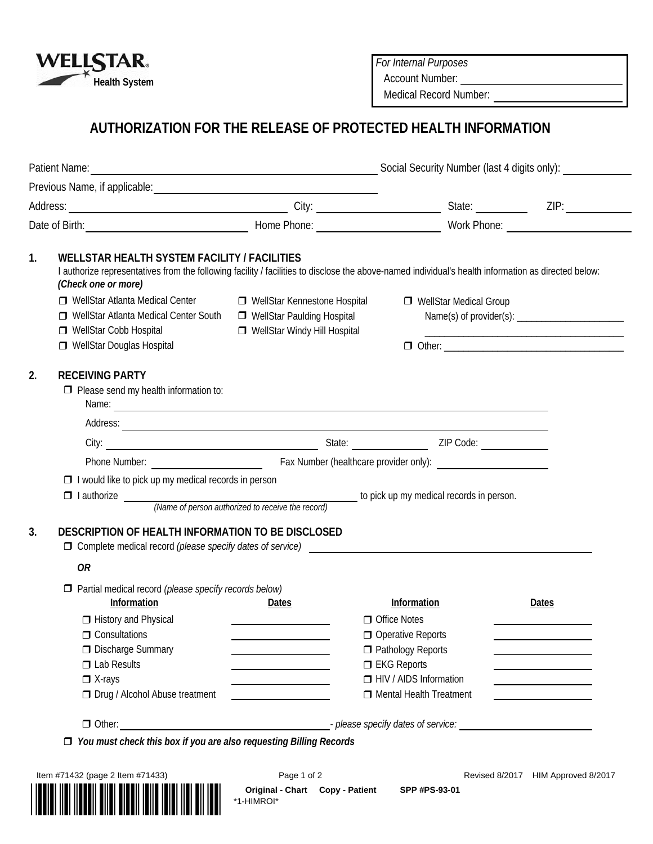

*For Internal Purposes*

Account Number:

Medical Record Number:

# **AUTHORIZATION FOR THE RELEASE OF PROTECTED HEALTH INFORMATION**

| 1. | <b>WELLSTAR HEALTH SYSTEM FACILITY / FACILITIES</b><br>I authorize representatives from the following facility / facilities to disclose the above-named individual's health information as directed below:<br>(Check one or more)<br>□ WellStar Atlanta Medical Center<br>□ WellStar Atlanta Medical Center South<br>□ WellStar Cobb Hospital<br>WellStar Douglas Hospital | □ WellStar Kennestone Hospital<br>□ WellStar Paulding Hospital<br>□ WellStar Windy Hill Hospital                                                                                                                                     | WellStar Medical Group                                                                                                                                  |                                                                                                                                       |  |
|----|----------------------------------------------------------------------------------------------------------------------------------------------------------------------------------------------------------------------------------------------------------------------------------------------------------------------------------------------------------------------------|--------------------------------------------------------------------------------------------------------------------------------------------------------------------------------------------------------------------------------------|---------------------------------------------------------------------------------------------------------------------------------------------------------|---------------------------------------------------------------------------------------------------------------------------------------|--|
| 2. | <b>RECEIVING PARTY</b><br>$\Box$ Please send my health information to:                                                                                                                                                                                                                                                                                                     | Name: <u>example and the second contract of the second contract of the second contract of the second contract of the second contract of the second contract of the second contract of the second contract of the second contract</u> |                                                                                                                                                         |                                                                                                                                       |  |
|    |                                                                                                                                                                                                                                                                                                                                                                            | Address:                                                                                                                                                                                                                             |                                                                                                                                                         |                                                                                                                                       |  |
|    |                                                                                                                                                                                                                                                                                                                                                                            |                                                                                                                                                                                                                                      |                                                                                                                                                         |                                                                                                                                       |  |
| 3. | $\Box$ I would like to pick up my medical records in person<br>$\Box$ I authorize $\Box$ (Name of person authorized to receive the record) to pick up my medical records in person.<br>DESCRIPTION OF HEALTH INFORMATION TO BE DISCLOSED<br>$\Box$ Complete medical record <i>(please specify dates of service)</i>                                                        |                                                                                                                                                                                                                                      |                                                                                                                                                         |                                                                                                                                       |  |
|    | <b>OR</b>                                                                                                                                                                                                                                                                                                                                                                  |                                                                                                                                                                                                                                      |                                                                                                                                                         |                                                                                                                                       |  |
|    | $\Box$ Partial medical record (please specify records below)<br>Information<br>History and Physical<br>$\Box$ Consultations<br><b>Discharge Summary</b><br>$\Box$ Lab Results<br>$\Box$ X-rays<br>□ Drug / Alcohol Abuse treatment                                                                                                                                         | Dates<br>the control of the control of the<br><u> 1980 - Johann Barn, mars an t-Amerikaansk kommunister (</u><br><u> 1980 - Johann Barbara, martxa a</u>                                                                             | Information<br>$\Box$ Office Notes<br>Operative Reports<br>Pathology Reports<br>$\Box$ EKG Reports<br>HIV / AIDS Information<br>Mental Health Treatment | Dates<br>the control of the control of the control of<br><u> 1980 - Johann Barbara, martin a</u><br>the control of the control of the |  |
|    |                                                                                                                                                                                                                                                                                                                                                                            | Other: 0.01 Other: 0.01 Other: 0.01 Other: 0.01 Other: 0.01 Other: 0.01 Other: 0.01 Other: 0.01 Other: 0.01 Other: 0.01 Other: 0.01 Other: 0.01 Other: 0.01 Other: 0.01 Other: 0.01 Other: 0.01 Other: 0.01 Other: 0.01 Other:       |                                                                                                                                                         |                                                                                                                                       |  |



**Original - Chart Copy - Patient SPP #PS-93-01**